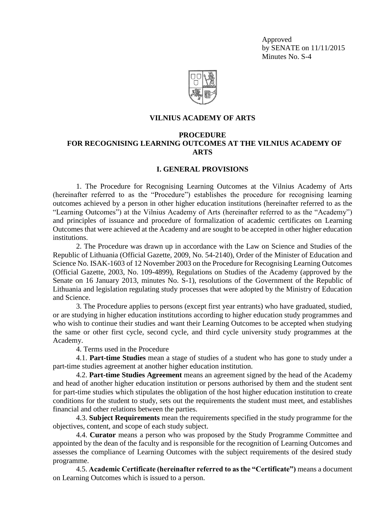Approved by SENATE on 11/11/2015 Minutes No. S-4



### **VILNIUS ACADEMY OF ARTS**

## **PROCEDURE FOR RECOGNISING LEARNING OUTCOMES AT THE VILNIUS ACADEMY OF ARTS**

#### **I. GENERAL PROVISIONS**

1. The Procedure for Recognising Learning Outcomes at the Vilnius Academy of Arts (hereinafter referred to as the "Procedure") establishes the procedure for recognising learning outcomes achieved by a person in other higher education institutions (hereinafter referred to as the "Learning Outcomes") at the Vilnius Academy of Arts (hereinafter referred to as the "Academy") and principles of issuance and procedure of formalization of academic certificates on Learning Outcomes that were achieved at the Academy and are sought to be accepted in other higher education institutions.

2. The Procedure was drawn up in accordance with the Law on Science and Studies of the Republic of Lithuania (Official Gazette, 2009, No. 54-2140), Order of the Minister of Education and Science No. ISAK-1603 of 12 November 2003 on the Procedure for Recognising Learning Outcomes (Official Gazette, 2003, No. 109-4899), Regulations on Studies of the Academy (approved by the Senate on 16 January 2013, minutes No. S-1), resolutions of the Government of the Republic of Lithuania and legislation regulating study processes that were adopted by the Ministry of Education and Science.

3. The Procedure applies to persons (except first year entrants) who have graduated, studied, or are studying in higher education institutions according to higher education study programmes and who wish to continue their studies and want their Learning Outcomes to be accepted when studying the same or other first cycle, second cycle, and third cycle university study programmes at the Academy.

4. Terms used in the Procedure

4.1. **Part-time Studies** mean a stage of studies of a student who has gone to study under a part-time studies agreement at another higher education institution.

4.2. **Part-time Studies Agreement** means an agreement signed by the head of the Academy and head of another higher education institution or persons authorised by them and the student sent for part-time studies which stipulates the obligation of the host higher education institution to create conditions for the student to study, sets out the requirements the student must meet, and establishes financial and other relations between the parties.

4.3. **Subject Requirements** mean the requirements specified in the study programme for the objectives, content, and scope of each study subject.

4.4. **Curator** means a person who was proposed by the Study Programme Committee and appointed by the dean of the faculty and is responsible for the recognition of Learning Outcomes and assesses the compliance of Learning Outcomes with the subject requirements of the desired study programme.

4.5. **Academic Certificate (hereinafter referred to as the "Certificate")** means a document on Learning Outcomes which is issued to a person.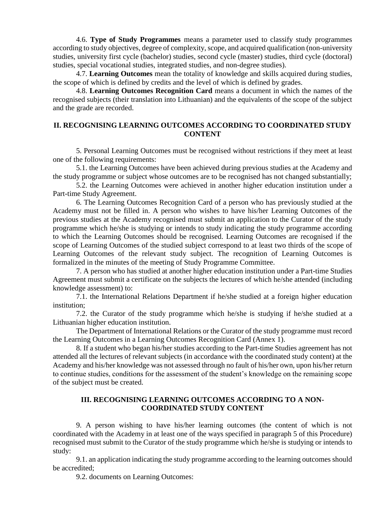4.6. **Type of Study Programmes** means a parameter used to classify study programmes according to study objectives, degree of complexity, scope, and acquired qualification (non-university studies, university first cycle (bachelor) studies, second cycle (master) studies, third cycle (doctoral) studies, special vocational studies, integrated studies, and non-degree studies).

4.7. **Learning Outcomes** mean the totality of knowledge and skills acquired during studies, the scope of which is defined by credits and the level of which is defined by grades.

4.8. **Learning Outcomes Recognition Card** means a document in which the names of the recognised subjects (their translation into Lithuanian) and the equivalents of the scope of the subject and the grade are recorded.

# **II. RECOGNISING LEARNING OUTCOMES ACCORDING TO COORDINATED STUDY CONTENT**

5. Personal Learning Outcomes must be recognised without restrictions if they meet at least one of the following requirements:

5.1. the Learning Outcomes have been achieved during previous studies at the Academy and the study programme or subject whose outcomes are to be recognised has not changed substantially;

5.2. the Learning Outcomes were achieved in another higher education institution under a Part-time Study Agreement.

6. The Learning Outcomes Recognition Card of a person who has previously studied at the Academy must not be filled in. A person who wishes to have his/her Learning Outcomes of the previous studies at the Academy recognised must submit an application to the Curator of the study programme which he/she is studying or intends to study indicating the study programme according to which the Learning Outcomes should be recognised. Learning Outcomes are recognised if the scope of Learning Outcomes of the studied subject correspond to at least two thirds of the scope of Learning Outcomes of the relevant study subject. The recognition of Learning Outcomes is formalized in the minutes of the meeting of Study Programme Committee.

7. A person who has studied at another higher education institution under a Part-time Studies Agreement must submit a certificate on the subjects the lectures of which he/she attended (including knowledge assessment) to:

7.1. the International Relations Department if he/she studied at a foreign higher education institution;

7.2. the Curator of the study programme which he/she is studying if he/she studied at a Lithuanian higher education institution.

The Department of International Relations or the Curator of the study programme must record the Learning Outcomes in a Learning Outcomes Recognition Card (Annex 1).

8. If a student who began his/her studies according to the Part-time Studies agreement has not attended all the lectures of relevant subjects (in accordance with the coordinated study content) at the Academy and his/her knowledge was not assessed through no fault of his/her own, upon his/her return to continue studies, conditions for the assessment of the student's knowledge on the remaining scope of the subject must be created.

## **III. RECOGNISING LEARNING OUTCOMES ACCORDING TO A NON-COORDINATED STUDY CONTENT**

9. A person wishing to have his/her learning outcomes (the content of which is not coordinated with the Academy in at least one of the ways specified in paragraph 5 of this Procedure) recognised must submit to the Curator of the study programme which he/she is studying or intends to study:

9.1. an application indicating the study programme according to the learning outcomes should be accredited;

9.2. documents on Learning Outcomes: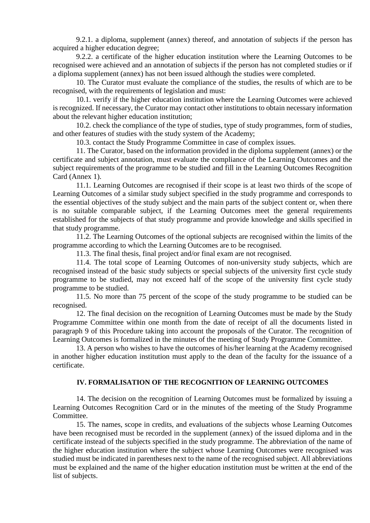9.2.1. a diploma, supplement (annex) thereof, and annotation of subjects if the person has acquired a higher education degree;

9.2.2. a certificate of the higher education institution where the Learning Outcomes to be recognised were achieved and an annotation of subjects if the person has not completed studies or if a diploma supplement (annex) has not been issued although the studies were completed.

10. The Curator must evaluate the compliance of the studies, the results of which are to be recognised, with the requirements of legislation and must:

10.1. verify if the higher education institution where the Learning Outcomes were achieved is recognized. If necessary, the Curator may contact other institutions to obtain necessary information about the relevant higher education institution;

10.2. check the compliance of the type of studies, type of study programmes, form of studies, and other features of studies with the study system of the Academy;

10.3. contact the Study Programme Committee in case of complex issues.

11. The Curator, based on the information provided in the diploma supplement (annex) or the certificate and subject annotation, must evaluate the compliance of the Learning Outcomes and the subject requirements of the programme to be studied and fill in the Learning Outcomes Recognition Card (Annex 1).

11.1. Learning Outcomes are recognised if their scope is at least two thirds of the scope of Learning Outcomes of a similar study subject specified in the study programme and corresponds to the essential objectives of the study subject and the main parts of the subject content or, when there is no suitable comparable subject, if the Learning Outcomes meet the general requirements established for the subjects of that study programme and provide knowledge and skills specified in that study programme.

11.2. The Learning Outcomes of the optional subjects are recognised within the limits of the programme according to which the Learning Outcomes are to be recognised.

11.3. The final thesis, final project and/or final exam are not recognised.

11.4. The total scope of Learning Outcomes of non-university study subjects, which are recognised instead of the basic study subjects or special subjects of the university first cycle study programme to be studied, may not exceed half of the scope of the university first cycle study programme to be studied.

11.5. No more than 75 percent of the scope of the study programme to be studied can be recognised.

12. The final decision on the recognition of Learning Outcomes must be made by the Study Programme Committee within one month from the date of receipt of all the documents listed in paragraph 9 of this Procedure taking into account the proposals of the Curator. The recognition of Learning Outcomes is formalized in the minutes of the meeting of Study Programme Committee.

13. A person who wishes to have the outcomes of his/her learning at the Academy recognised in another higher education institution must apply to the dean of the faculty for the issuance of a certificate.

#### **IV. FORMALISATION OF THE RECOGNITION OF LEARNING OUTCOMES**

14. The decision on the recognition of Learning Outcomes must be formalized by issuing a Learning Outcomes Recognition Card or in the minutes of the meeting of the Study Programme Committee.

15. The names, scope in credits, and evaluations of the subjects whose Learning Outcomes have been recognised must be recorded in the supplement (annex) of the issued diploma and in the certificate instead of the subjects specified in the study programme. The abbreviation of the name of the higher education institution where the subject whose Learning Outcomes were recognised was studied must be indicated in parentheses next to the name of the recognised subject. All abbreviations must be explained and the name of the higher education institution must be written at the end of the list of subjects.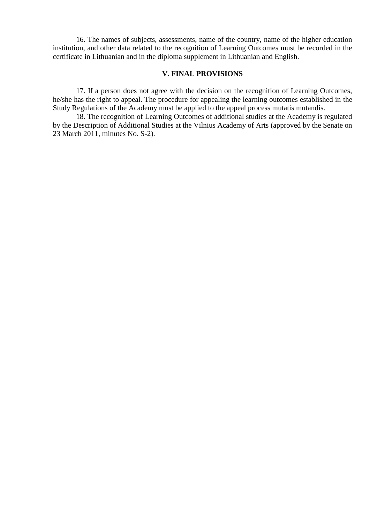16. The names of subjects, assessments, name of the country, name of the higher education institution, and other data related to the recognition of Learning Outcomes must be recorded in the certificate in Lithuanian and in the diploma supplement in Lithuanian and English.

### **V. FINAL PROVISIONS**

17. If a person does not agree with the decision on the recognition of Learning Outcomes, he/she has the right to appeal. The procedure for appealing the learning outcomes established in the Study Regulations of the Academy must be applied to the appeal process mutatis mutandis.

18. The recognition of Learning Outcomes of additional studies at the Academy is regulated by the Description of Additional Studies at the Vilnius Academy of Arts (approved by the Senate on 23 March 2011, minutes No. S-2).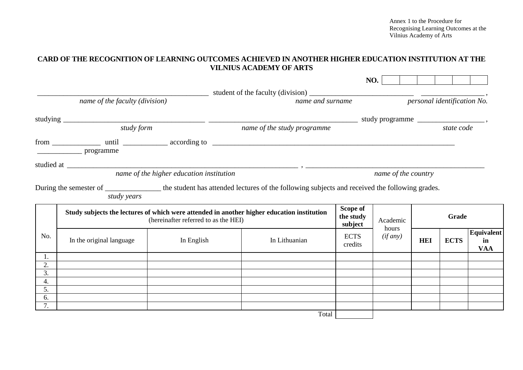Annex 1 to the Procedure for Recognising Learning Outcomes at the Vilnius Academy of Arts

# **CARD OF THE RECOGNITION OF LEARNING OUTCOMES ACHIEVED IN ANOTHER HIGHER EDUCATION INSTITUTION AT THE VILNIUS ACADEMY OF ARTS**

|                                |                                                                                                                                    |                                          |                                                                                                                                       |       |                                  | NO.                 |       |                             |             |                                       |
|--------------------------------|------------------------------------------------------------------------------------------------------------------------------------|------------------------------------------|---------------------------------------------------------------------------------------------------------------------------------------|-------|----------------------------------|---------------------|-------|-----------------------------|-------------|---------------------------------------|
|                                |                                                                                                                                    |                                          |                                                                                                                                       |       |                                  |                     |       |                             |             |                                       |
| name of the faculty (division) |                                                                                                                                    |                                          | name and surname                                                                                                                      |       |                                  |                     |       | personal identification No. |             |                                       |
|                                |                                                                                                                                    |                                          |                                                                                                                                       |       |                                  |                     |       |                             |             |                                       |
|                                | study form                                                                                                                         |                                          | name of the study programme                                                                                                           |       |                                  |                     |       | state code                  |             |                                       |
|                                |                                                                                                                                    |                                          |                                                                                                                                       |       |                                  |                     |       |                             |             |                                       |
|                                |                                                                                                                                    |                                          |                                                                                                                                       |       |                                  |                     |       |                             |             |                                       |
|                                |                                                                                                                                    | name of the higher education institution |                                                                                                                                       |       |                                  | name of the country |       |                             |             |                                       |
|                                | study years                                                                                                                        |                                          | During the semester of _______________ the student has attended lectures of the following subjects and received the following grades. |       |                                  |                     |       |                             |             |                                       |
|                                | Study subjects the lectures of which were attended in another higher education institution<br>(hereinafter referred to as the HEI) |                                          |                                                                                                                                       |       | Scope of<br>the study<br>subject | Academic            | Grade |                             |             |                                       |
| No.                            | In the original language                                                                                                           | In English                               | In Lithuanian                                                                                                                         |       | <b>ECTS</b><br>credits           | hours<br>(if any)   |       | <b>HEI</b>                  | <b>ECTS</b> | <b>Equivalent</b><br>in<br><b>VAA</b> |
| 1.                             |                                                                                                                                    |                                          |                                                                                                                                       |       |                                  |                     |       |                             |             |                                       |
| 2.                             |                                                                                                                                    |                                          |                                                                                                                                       |       |                                  |                     |       |                             |             |                                       |
| 3.<br>4.                       |                                                                                                                                    |                                          |                                                                                                                                       |       |                                  |                     |       |                             |             |                                       |
| 5.                             |                                                                                                                                    |                                          |                                                                                                                                       |       |                                  |                     |       |                             |             |                                       |
| 6.                             |                                                                                                                                    |                                          |                                                                                                                                       |       |                                  |                     |       |                             |             |                                       |
| 7.                             |                                                                                                                                    |                                          |                                                                                                                                       |       |                                  |                     |       |                             |             |                                       |
|                                |                                                                                                                                    |                                          |                                                                                                                                       | Total |                                  |                     |       |                             |             |                                       |